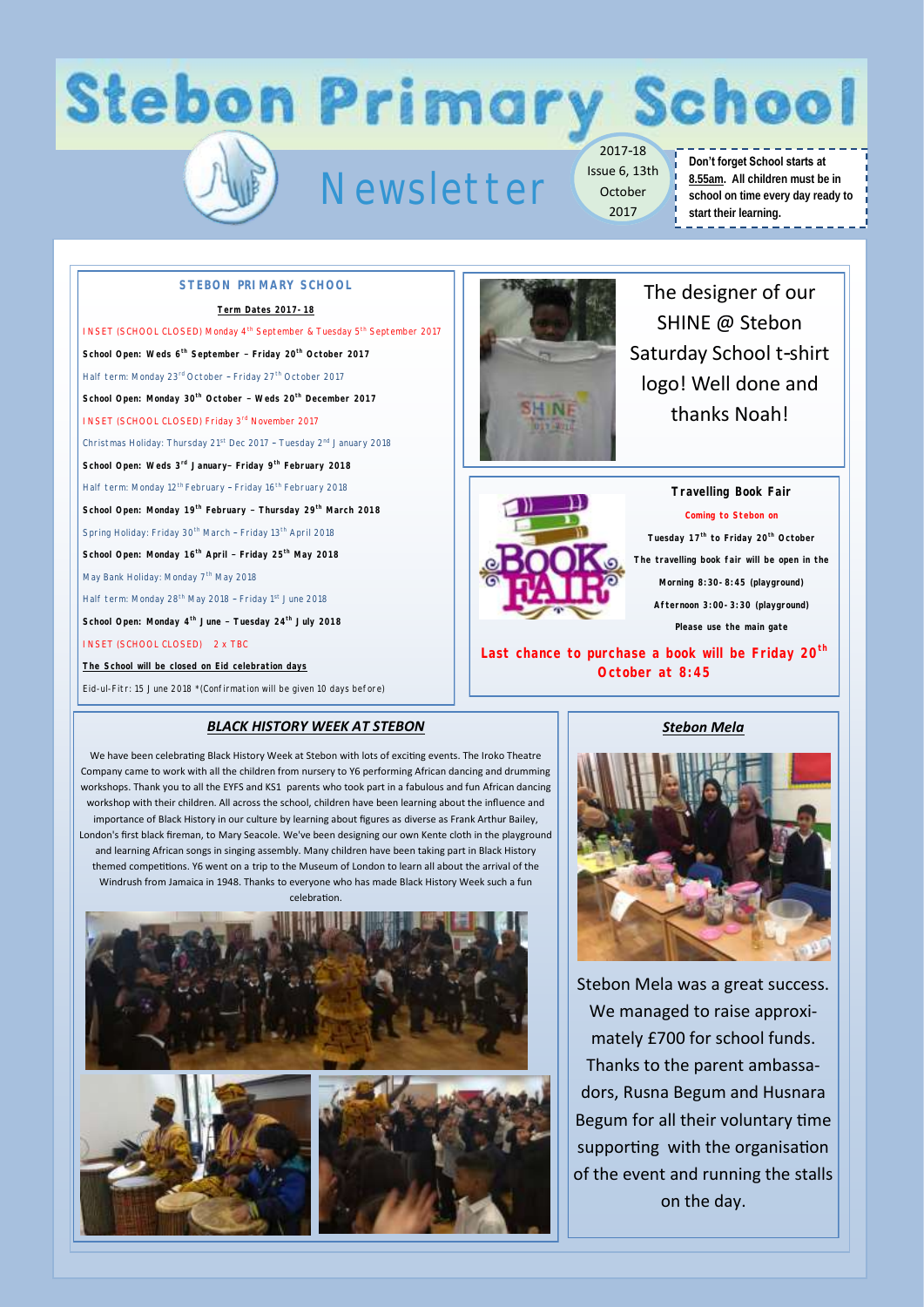## **Stebon Primary School**

## Newsletter

2017-18 Issue 6, 13th October 2017

#### **Don't forget School starts at 8.55am. All children must be in school on time every day ready to start their learning.** -------------

#### **STEBON PRIMARY SCHOOL**

#### **Term Dates 2017-18**

INSET (SCHOOL CLOSED) Monday 4<sup>th</sup> September & Tuesday 5<sup>th</sup> September 2017 **School Open: Weds 6th September – Friday 20th October 2017** Half term: Monday 23rd October – Friday 27th October 2017 **School Open: Monday 30th October – Weds 20th December 2017**  INSET (SCHOOL CLOSED) Friday 3rd November 2017 Christmas Holiday: Thursday 21st Dec 2017 – Tuesday 2nd January 2018 **School Open: Weds 3rd January– Friday 9th February 2018** Half term: Monday 12<sup>th</sup> February - Friday 16<sup>th</sup> February 2018 **School Open: Monday 19th February – Thursday 29th March 2018** Spring Holiday: Friday 30<sup>th</sup> March - Friday 13<sup>th</sup> April 2018 **School Open: Monday 16th April – Friday 25th May 2018** May Bank Holiday: Monday 7<sup>th</sup> May 2018 Half term: Monday 28<sup>th</sup> May 2018 - Friday 1st June 2018 **School Open: Monday 4th June – Tuesday 24th July 2018** INSET (SCHOOL CLOSED) 2 x TBC **The School will be closed on Eid celebration days**

Eid-ul-Fitr: 15 June 2018 \*(Confirmation will be given 10 days before)

#### *BLACK HISTORY WEEK AT STEBON*

We have been celebrating Black History Week at Stebon with lots of exciting events. The Iroko Theatre Company came to work with all the children from nursery to Y6 performing African dancing and drumming workshops. Thank you to all the EYFS and KS1 parents who took part in a fabulous and fun African dancing workshop with their children. All across the school, children have been learning about the influence and importance of Black History in our culture by learning about figures as diverse as Frank Arthur Bailey, London's first black fireman, to Mary Seacole. We've been designing our own Kente cloth in the playground and learning African songs in singing assembly. Many children have been taking part in Black History themed competitions. Y6 went on a trip to the Museum of London to learn all about the arrival of the Windrush from Jamaica in 1948. Thanks to everyone who has made Black History Week such a fun celebration.





The designer of our SHINE @ Stebon Saturday School t-shirt logo! Well done and thanks Noah!



**Travelling Book Fair Coming to Stebon on Tuesday 17th to Friday 20th October The travelling book fair will be open in the Morning 8:30-8:45 (playground) Afternoon 3:00-3:30 (playground) Please use the main gate**

**Last chance to purchase a book will be Friday 20th October at 8:45**

#### *Stebon Mela*



Stebon Mela was a great success. We managed to raise approximately £700 for school funds. Thanks to the parent ambassadors, Rusna Begum and Husnara Begum for all their voluntary time supporting with the organisation of the event and running the stalls on the day.